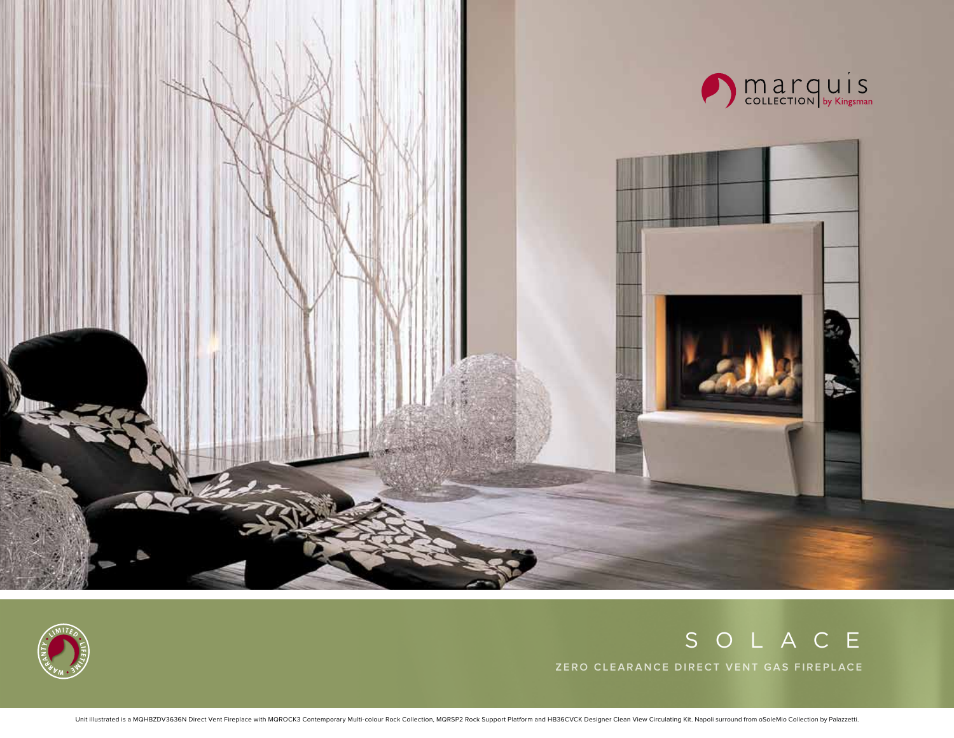



## SOLACE

**Zero clearance direct vent gas fireplace**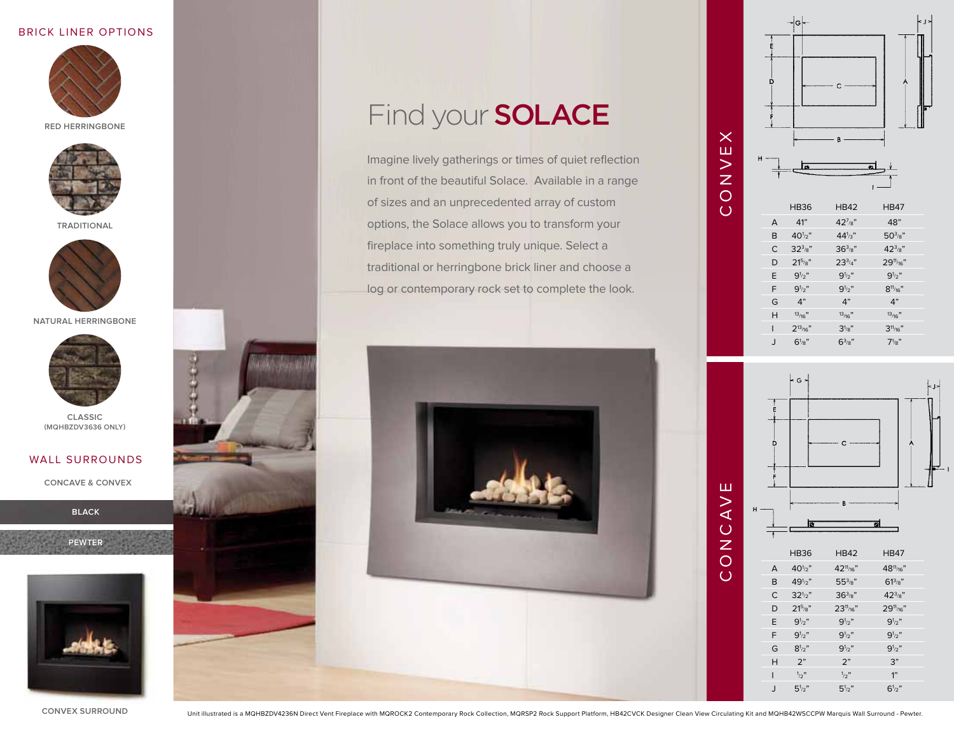### BRick Liner Options



**REd Herringbone**



**Traditional**



**Natural Herringbone**



**Classic (mqhbzdv3636 only)**

### WALL SURROUNDS

**Concave & convex**

**black**

**pewter**



# Find your **SOLACE**

Imagine lively gatherings or times of quiet reflection in front of the beautiful Solace. Available in a range of sizes and an unprecedented array of custom options, the Solace allows you to transform your fireplace into something truly unique. Select a traditional or herringbone brick liner and choose a log or contemporary rock set to complete the look.





xш

concave



**convex surround**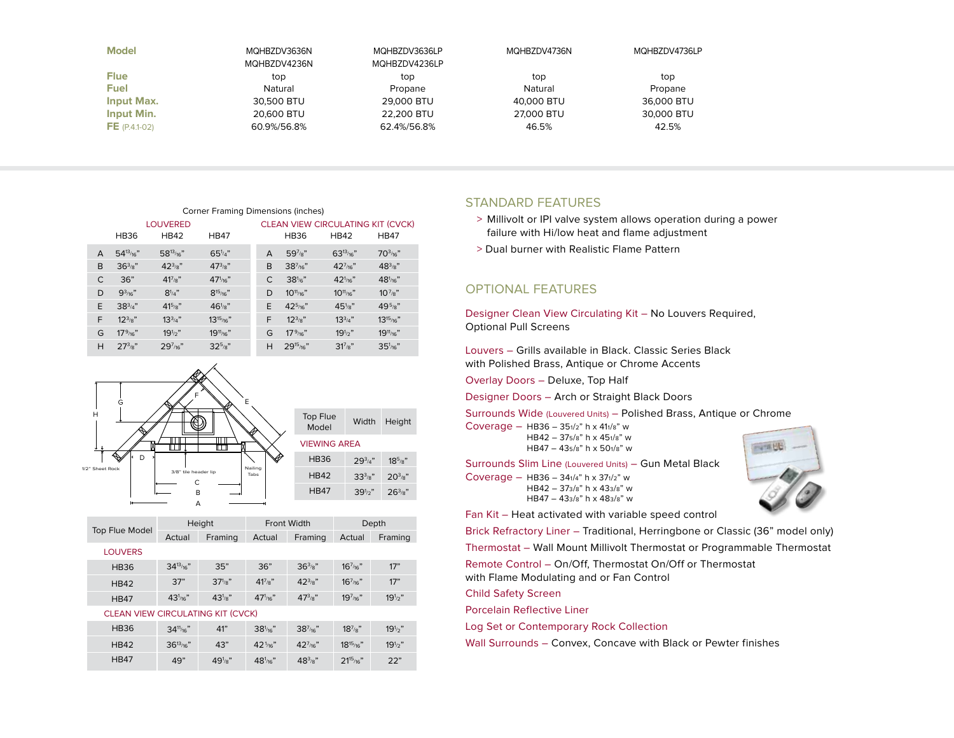| <b>Model</b>      | MOHBZDV3636N<br>MQHBZDV4236N | MOHBZDV3636LP<br>MQHBZDV4236LP | MQHBZDV4736N | MOHBZDV4736LP |
|-------------------|------------------------------|--------------------------------|--------------|---------------|
|                   |                              |                                |              |               |
| <b>Flue</b>       | top                          | top                            | top          | top           |
| <b>Fuel</b>       | Natural                      | Propane                        | Natural      | Propane       |
| <b>Input Max.</b> | 30,500 BTU                   | 29,000 BTU                     | 40,000 BTU   | 36,000 BTU    |
| Input Min.        | 20,600 BTU                   | 22.200 BTU                     | 27,000 BTU   | 30,000 BTU    |
| $FE (P.4.1-02)$   | 60.9%/56.8%                  | 62.4%/56.8%                    | 46.5%        | 42.5%         |

| Corner Framing Dimensions (inches) |                 |                  |                        |   |                                          |                   |                      |  |  |
|------------------------------------|-----------------|------------------|------------------------|---|------------------------------------------|-------------------|----------------------|--|--|
|                                    | <b>LOUVERED</b> |                  |                        |   | <b>CLEAN VIEW CIRCULATING KIT (CVCK)</b> |                   |                      |  |  |
|                                    | <b>HB36</b>     | <b>HB42</b>      | <b>HB47</b>            |   | <b>HB36</b>                              | <b>HB42</b>       | <b>HB47</b>          |  |  |
| A                                  | $54^{13}$ /16"  | $58^{13}$ /16"   | $65^{1/4"$             | A | $597/8$ "                                | $63^{13}$ /16"    | 70 <sup>3</sup> /16" |  |  |
| B                                  | $36^{3}/8$ "    | $42^{3}/8$ "     | $47^{3}_{8}$ "         | B | $38^{7}_{/16}$ "                         | $42^{7}$ /16"     | $48^{3}_{8}$ "       |  |  |
| C                                  | 36"             | $41^{7}_{8}$ "   | $471$ <sub>/16</sub> " | C | $38^{1/6}$ "                             | $42^{1}_{/16}$ "  | 48 <sup>1</sup> /16" |  |  |
| D                                  | $9^{3}_{16}$ "  | $8^{1/4}$        | $8^{15}$ /16"          | D | $10^{11}_{/16}$ "                        | $10^{11}_{/16}$ " | $10^{7}_{8}$ "       |  |  |
| E                                  | $38^{3/4"$      | $41^{5}_{8}$     | $461/8$ "              | E | $425$ /16"                               | $451/8$ "         | $49^{5}_{8}$ "       |  |  |
| F                                  | $12^{3/8}$      | $13^{3/4}$       | $13^{15}_{/16}$ "      | F | $12^{3/8}$                               | $13^{3/4}$        | $13^{15}_{/16}$ "    |  |  |
| G                                  | $17^9$ /16"     | $19^{1/2}$       | $19^{11}_{/16}$ "      | G | $17\frac{9}{16}$                         | $19^{1/2}$        | $19^{11}_{/16}$ "    |  |  |
| Н                                  | $27^{3}_{8}$    | $29^{7}_{/16}$ " | $32^{5}_{8}$ "         | H | $29^{15}_{/16}$ "                        | $31^{7}/8"$       | $351/16$ "           |  |  |



|                                          | Top Flue Model | Height             |                        | Front Width        |                  | Depth             |              |
|------------------------------------------|----------------|--------------------|------------------------|--------------------|------------------|-------------------|--------------|
|                                          |                | Actual             | Framing                | Actual             | Framing          | Actual            | Framing      |
|                                          | <b>LOUVERS</b> |                    |                        |                    |                  |                   |              |
|                                          | <b>HB36</b>    | $34^{13}$ /16"     | 35"                    | 36"                | $36^{3}/8$ "     | $16^{7}$ /16"     | 17"          |
|                                          | <b>HB42</b>    | 37"                | $37\frac{1}{8}$        | $41^{7}/8$ "       | $42^{3}/8$ "     | $16^{7}_{16}$ "   | 17"          |
|                                          | <b>HB47</b>    | 43 <sup>1</sup> 16 | $43'$ / <sub>8</sub> " | 47 <sup>1</sup> 16 | $47^{3}_{8}$ "   | $19^{7}_{16}$ "   | $19^{1/2}$ " |
| <b>CLEAN VIEW CIRCULATING KIT (CVCK)</b> |                |                    |                        |                    |                  |                   |              |
|                                          | <b>HB36</b>    | $34\frac{11}{16}$  | 41"                    | $381/16$ "         | $38^{7}_{/16}$ " | $18^{7}_{8}$ "    | $19^{1/2}$   |
|                                          | <b>HB42</b>    | $36^{13}$ /16"     | 43"                    | $421$ /16"         | $42^{7}_{/16}$ " | $18^{15}_{/16}$ " | $19^{1/2}$ " |

 $48<sup>1</sup>/16"$ 

/16" 483/8" 2115/16" 22"

49" 49<sup>1</sup>/<sub>8</sub>"

HB47

### Standard Features

- > Millivolt or IPI valve system allows operation during a power failure with Hi/low heat and flame adjustment
- > Dual burner with Realistic Flame Pattern

## Optional Features

Designer Clean View Circulating Kit – No Louvers Required, Optional Pull Screens

Louvers – Grills available in Black. Classic Series Black with Polished Brass, Antique or Chrome Accents

Overlay Doors – Deluxe, Top Half

Designer Doors – Arch or Straight Black Doors

Surrounds Wide (Louvered Units) – Polished Brass, Antique or Chrome

Coverage – HB36 – 351/2" h x 411/8" w HB42 – 375/8" h x 451/8" w HB47 – 435/8" h x 501/8" w

Surrounds Slim Line (Louvered Units) – Gun Metal Black

Coverage – HB36 – 341/4" h x 371/2" w HB42 – 373/8" h x 433/8" w HB47 – 433/8" h x 483/8" w

Fan Kit – Heat activated with variable speed control

Brick Refractory Liner – Traditional, Herringbone or Classic (36" model only) Thermostat – Wall Mount Millivolt Thermostat or Programmable Thermostat

Remote Control – On/Off, Thermostat On/Off or Thermostat with Flame Modulating and or Fan Control

Child Safety Screen

Porcelain Reflective Liner

Log Set or Contemporary Rock Collection

Wall Surrounds – Convex, Concave with Black or Pewter finishes